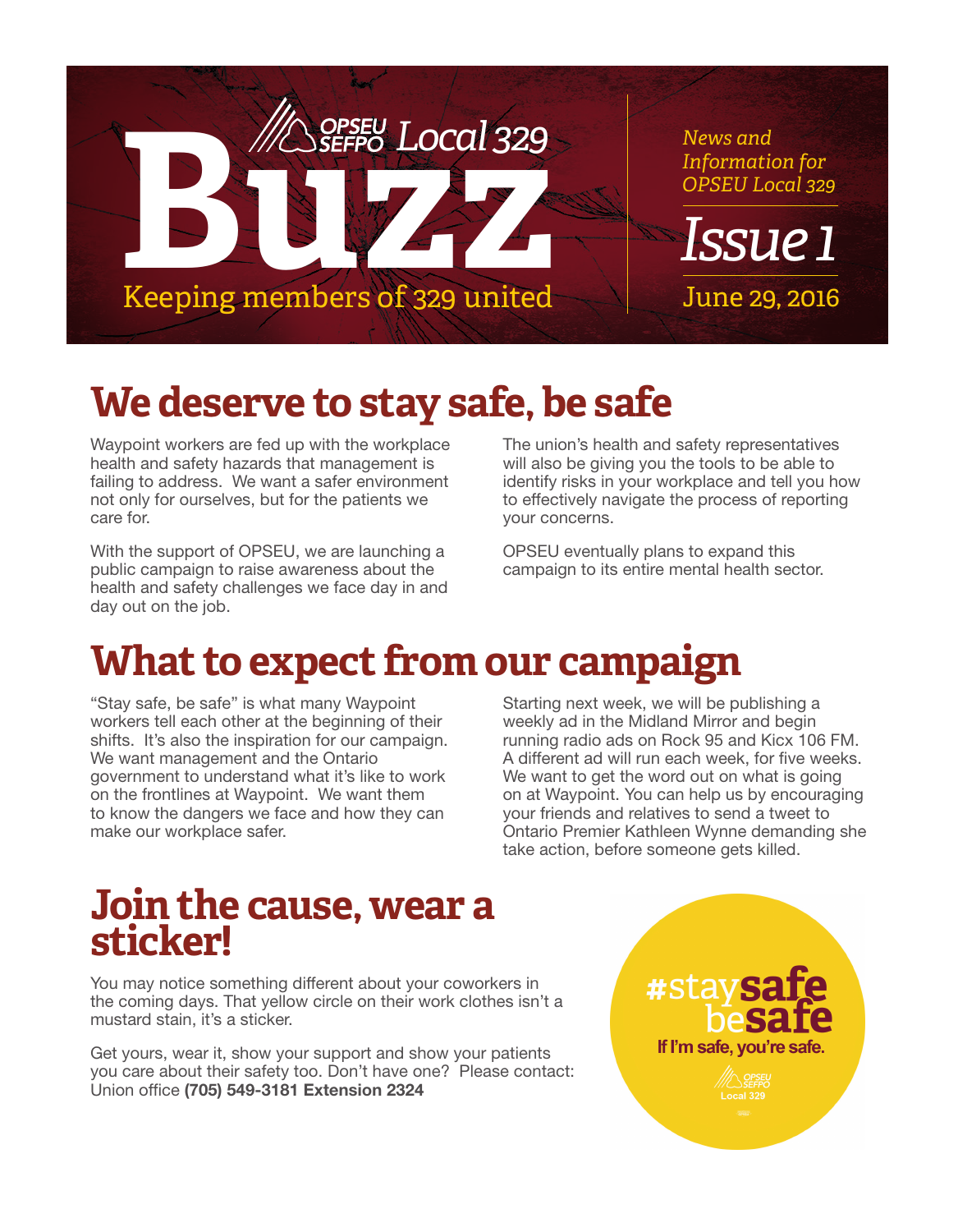

# **We deserve to stay safe, be safe**

Waypoint workers are fed up with the workplace health and safety hazards that management is failing to address. We want a safer environment not only for ourselves, but for the patients we care for.

With the support of OPSEU, we are launching a public campaign to raise awareness about the health and safety challenges we face day in and day out on the job.

The union's health and safety representatives will also be giving you the tools to be able to identify risks in your workplace and tell you how to effectively navigate the process of reporting your concerns.

OPSEU eventually plans to expand this campaign to its entire mental health sector.

# **What to expect from our campaign**

"Stay safe, be safe" is what many Waypoint workers tell each other at the beginning of their shifts. It's also the inspiration for our campaign. We want management and the Ontario government to understand what it's like to work on the frontlines at Waypoint. We want them to know the dangers we face and how they can make our workplace safer.

Starting next week, we will be publishing a weekly ad in the Midland Mirror and begin running radio ads on Rock 95 and Kicx 106 FM. A different ad will run each week, for five weeks. We want to get the word out on what is going on at Waypoint. You can help us by encouraging your friends and relatives to send a tweet to Ontario Premier Kathleen Wynne demanding she take action, before someone gets killed.

## **Join the cause, wear a sticker!**

You may notice something different about your coworkers in the coming days. That yellow circle on their work clothes isn't a mustard stain, it's a sticker.

Get yours, wear it, show your support and show your patients you care about their safety too. Don't have one? Please contact: Union office (705) 549-3181 Extension 2324

#stay If I'm safe, you're safe. Local 329